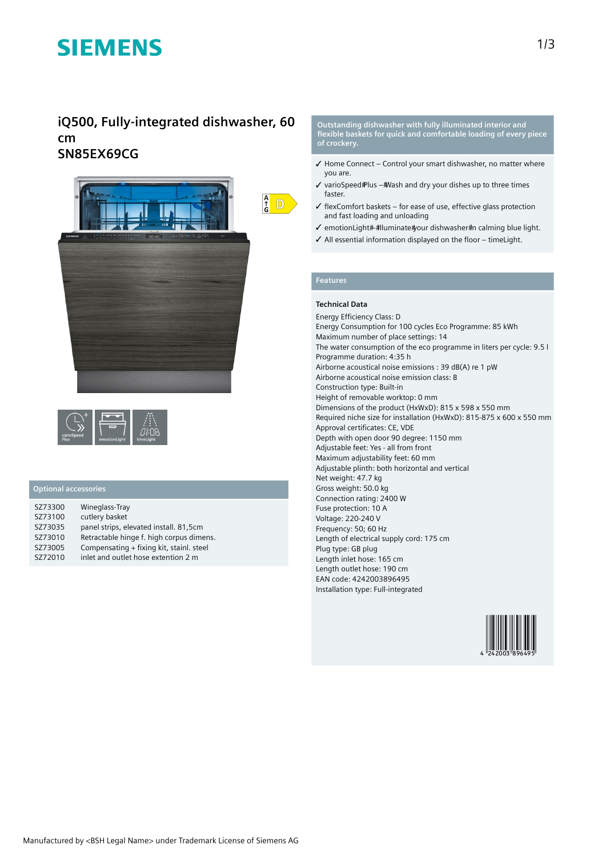# **SIEMENS**

## **iQ500, Fully-integrated dishwasher, 60 cm SN85EX69CG**





#### **Optional accessories**

| SZ73300 | Wineglass-Tray                           |
|---------|------------------------------------------|
| SZ73100 | cutlery basket                           |
| SZ73035 | panel strips, elevated install. 81,5cm   |
| SZ73010 | Retractable hinge f. high corpus dimens. |
| SZ73005 | Compensating + fixing kit, stainl. steel |
| SZ72010 | inlet and outlet hose extention 2 m      |

**Outstanding dishwasher with fully illuminated interior and flexible baskets for quick and comfortable loading of every piece of crockery.**

- ✓ Home Connect Control your smart dishwasher, no matter where you are.
- $\checkmark$  varioSpeed Plus # Wash and dry your dishes up to three times faster.
- $\checkmark$  flexComfort baskets for ease of use, effective glass protection and fast loading and unloading
- √ emotionLight# #lluminate#your dishwasher #n calming blue light.
- ✓ All essential information displayed on the floor timeLight.

### **Features**

 $\frac{A}{G}$  D

### **Technical Data**

Energy Efficiency Class: D Energy Consumption for 100 cycles Eco Programme: 85 kWh Maximum number of place settings: 14 The water consumption of the eco programme in liters per cycle: 9.5 l Programme duration: 4:35 h Airborne acoustical noise emissions : 39 dB(A) re 1 pW Airborne acoustical noise emission class: B Construction type: Built-in Height of removable worktop: 0 mm Dimensions of the product (HxWxD): 815 x 598 x 550 mm Required niche size for installation (HxWxD): 815-875 x 600 x 550 mm Approval certificates: CE, VDE Depth with open door 90 degree: 1150 mm Adjustable feet: Yes - all from front Maximum adjustability feet: 60 mm Adjustable plinth: both horizontal and vertical Net weight: 47.7 kg Gross weight: 50.0 kg Connection rating: 2400 W Fuse protection: 10 A Voltage: 220-240 V Frequency: 50; 60 Hz Length of electrical supply cord: 175 cm Plug type: GB plug Length inlet hose: 165 cm Length outlet hose: 190 cm EAN code: 4242003896495 Installation type: Full-integrated

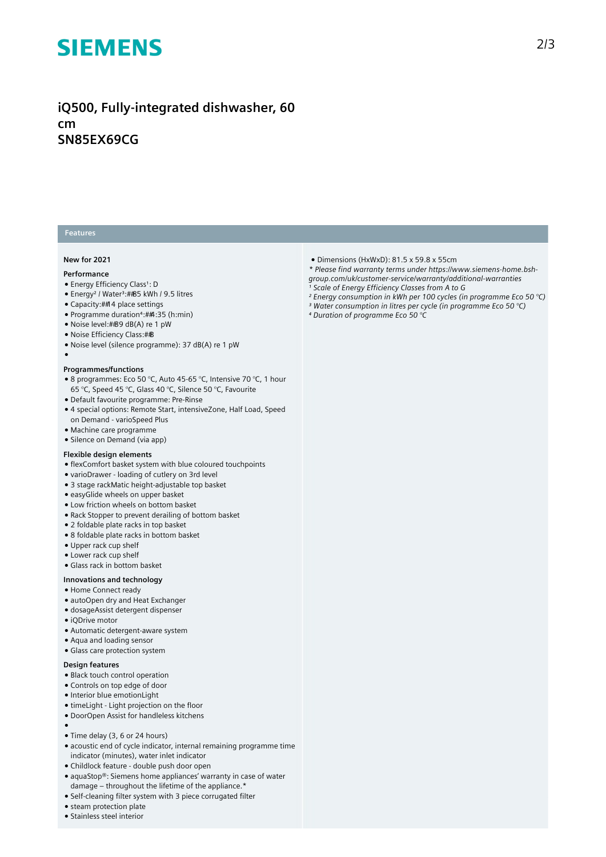# **SIEMENS**

## **iQ500, Fully-integrated dishwasher, 60 cm SN85EX69CG**

### **Features**

#### **New for 2021**

#### **Performance**

●

- Energy Efficiency Class<sup>1</sup>: D
- Energy<sup>2</sup> / Water<sup>3</sup>:##85 kWh / 9.5 litres
- Capacity: 14 place settings
- Programme duration<sup>4</sup>: ##: 35 (h:min)
- Noise level:##89 dB(A) re 1 pW
- Noise Efficiency Class: #B
- Noise level (silence programme): 37 dB(A) re 1 pW

#### **Programmes/functions**

- 8 programmes: Eco 50 °C, Auto 45-65 °C, Intensive 70 °C, 1 hour 65 °C, Speed 45 °C, Glass 40 °C, Silence 50 °C, Favourite
- Default favourite programme: Pre-Rinse
- 4 special options: Remote Start, intensiveZone, Half Load, Speed on Demand - varioSpeed Plus
- Machine care programme
- Silence on Demand (via app)

#### **Flexible design elements**

- flexComfort basket system with blue coloured touchpoints
- varioDrawer loading of cutlery on 3rd level
- 3 stage rackMatic height-adjustable top basket
- easyGlide wheels on upper basket
- Low friction wheels on bottom basket
- Rack Stopper to prevent derailing of bottom basket
- 2 foldable plate racks in top basket
- 8 foldable plate racks in bottom basket
- Upper rack cup shelf
- Lower rack cup shelf
- Glass rack in bottom basket

#### **Innovations and technology**

- Home Connect ready
- autoOpen dry and Heat Exchanger
- dosageAssist detergent dispenser
- iQDrive motor
- Automatic detergent-aware system
- Aqua and loading sensor
- Glass care protection system

#### **Design features**

- Black touch control operation
- Controls on top edge of door
- Interior blue emotionLight
- timeLight Light projection on the floor
- DoorOpen Assist for handleless kitchens
- ●
- Time delay (3, 6 or 24 hours)
- acoustic end of cycle indicator, internal remaining programme time indicator (minutes), water inlet indicator
- Childlock feature double push door open
- aquaStop®: Siemens home appliances' warranty in case of water damage – throughout the lifetime of the appliance.\*
- Self-cleaning filter system with 3 piece corrugated filter
- steam protection plate
- Stainless steel interior
- Dimensions (HxWxD): 81.5 x 59.8 x 55cm
- *\* Please find warranty terms under https://www.siemens-home.bsh-*
- *group.com/uk/customer-service/warranty/additional-warranties*
- *¹ Scale of Energy Efficiency Classes from A to G*
- *² Energy consumption in kWh per 100 cycles (in programme Eco 50 °C)*
- *³ Water consumption in litres per cycle (in programme Eco 50 °C)*
- *⁴ Duration of programme Eco 50 °C*